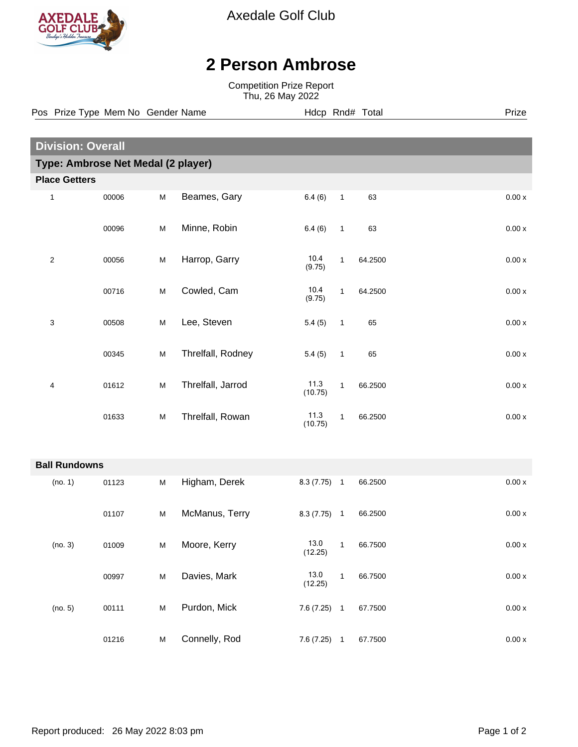

Axedale Golf Club

## **2 Person Ambrose**

Competition Prize Report Thu, 26 May 2022

**Division: Overall Type: Ambrose Net Medal (2 player) Place Getters** 1 00006 M Beames, Gary 6.4 (6) 1 63 0.00 x 00096 M Minne, Robin 6.4 (6) 1 63 0.00 x 2 00056 M Harrop, Garry 10.4 1 64.2500 0.00 x (9.75) 00716 M Cowled, Cam 10.4 1 64.2500 0.00 x (9.75) 3 00508 M Lee, Steven 5.4 (5) 1 65 0.00 x 00345 M Threlfall, Rodney 5.4 (5) 1 65 0.00 x 4 01612 M Threlfall, Jarrod 11.3 1 66.2500 0.00 x (10.75) 01633 M Threlfall, Rowan 11.3 1 66.2500 0.00 x (10.75) **Ball Rundowns** (no. 1) 01123 M Higham, Derek 8.3 (7.75) 1 66.2500 0.00 x 01107 M McManus, Terry 8.3 (7.75) 1 66.2500 0.00 x (no. 3) 01009 M Moore, Kerry 13.0 1 66.7500 0.00 x (12.25) 00997 M Davies, Mark 13.0 1 66.7500 0.00 x (12.25) (no. 5) 00111 M Purdon, Mick 7.6 (7.25) 1 67.7500 0.00 x 01216 M Connelly, Rod 7.6 (7.25) 1 67.7500 0.00 x Pos Prize Type Mem No Gender Name **Heath Hotel Hotel Rnd# Total** Prize